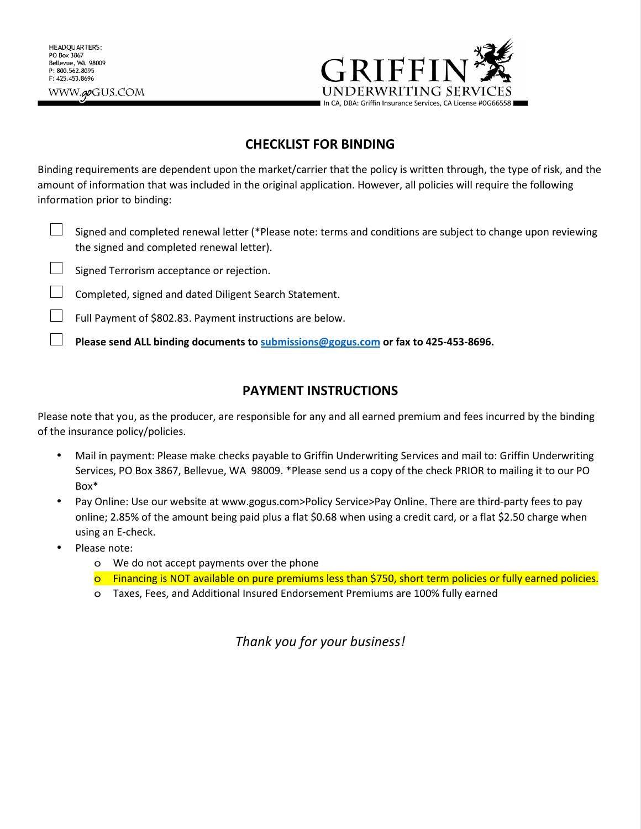

## **CHECKLIST FOR BINDING**

Binding requirements are dependent upon the market/carrier that the policy is written through, the type of risk, and the amount of information that was included in the original application. However, all policies will require the following information prior to binding:

- Signed and completed renewal letter (\*Please note: terms and conditions are subject to change upon reviewing the signed and completed renewal letter).
- Signed Terrorism acceptance or rejection.
- ! Completed, signed and dated Diligent Search Statement.
- ! Full Payment of \$802.83. Payment instructions are below.
- ! **Please send ALL binding documents to submissions@gogus.com or fax to 425-453-8696.**

### **PAYMENT INSTRUCTIONS**

Please note that you, as the producer, are responsible for any and all earned premium and fees incurred by the binding of the insurance policy/policies.

- Mail in payment: Please make checks payable to Griffin Underwriting Services and mail to: Griffin Underwriting Services, PO Box 3867, Bellevue, WA 98009. \*Please send us a copy of the check PRIOR to mailing it to our PO Box\*
- Pay Online: Use our website at www.gogus.com>Policy Service>Pay Online. There are third-party fees to pay online; 2.85% of the amount being paid plus a flat \$0.68 when using a credit card, or a flat \$2.50 charge when using an E-check.
- Please note:
	- o We do not accept payments over the phone
	- o Financing is NOT available on pure premiums less than \$750, short term policies or fully earned policies.
	- o Taxes, Fees, and Additional Insured Endorsement Premiums are 100% fully earned

*Thank you for your business!*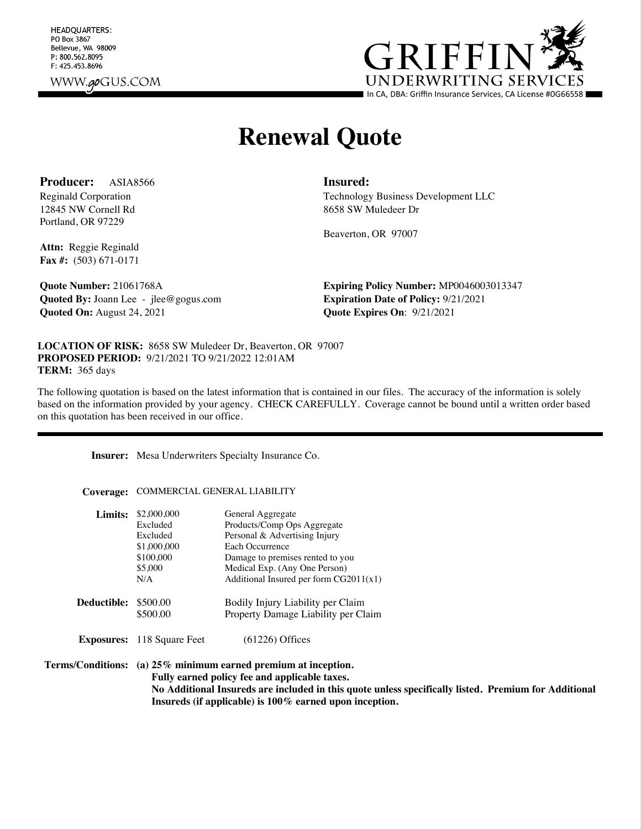HEADQUARTERS: PO Box 3867 Bellevue, WA 98009 P: 800.562.8095 F: 425.453.8696 WWW.**qo**GUS.COM



# **Renewal Quote**

**Producer:** ASIA8566 **Insured:**

12845 NW Cornell Rd Portland, OR 97229

Reginald Corporation Technology Business Development LLC 8658 SW Muledeer Dr

Beaverton, OR 97007

**Attn:** Reggie Reginald **Fax #:** (503) 671-0171

**Quoted By:** Joann Lee - jlee@gogus.com **Expiration Date of Policy:** 9/21/2021 **Quoted On:** August 24, 2021 **Quote Expires On:** 9/21/2021

**Quote Number:** 21061768A **Expiring Policy Number:** MP0046003013347

**LOCATION OF RISK:** 8658 SW Muledeer Dr, Beaverton, OR 97007 **PROPOSED PERIOD:** 9/21/2021 TO 9/21/2022 12:01AM **TERM:** 365 days

The following quotation is based on the latest information that is contained in our files. The accuracy of the information is solely based on the information provided by your agency. CHECK CAREFULLY. Coverage cannot be bound until a written order based on this quotation has been received in our office.

**Insurer:** Mesa Underwriters Specialty Insurance Co.

**Coverage:** COMMERCIAL GENERAL LIABILITY

| Limits:     | \$2,000,000<br>Excluded<br>Excluded<br>\$1,000,000<br>\$100,000<br>\$5,000<br>N/A | General Aggregate<br>Products/Comp Ops Aggregate<br>Personal & Advertising Injury<br>Each Occurrence<br>Damage to premises rented to you<br>Medical Exp. (Any One Person)<br>Additional Insured per form $CG2011(x1)$ |
|-------------|-----------------------------------------------------------------------------------|-----------------------------------------------------------------------------------------------------------------------------------------------------------------------------------------------------------------------|
| Deductible: | \$500.00<br>\$500.00                                                              | Bodily Injury Liability per Claim<br>Property Damage Liability per Claim                                                                                                                                              |
|             | <b>Exposures:</b> 118 Square Feet                                                 | $(61226)$ Offices                                                                                                                                                                                                     |

**Terms/Conditions: (a) 25% minimum earned premium at inception. Fully earned policy fee and applicable taxes. No Additional Insureds are included in this quote unless specifically listed. Premium for Additional Insureds (if applicable) is 100% earned upon inception.**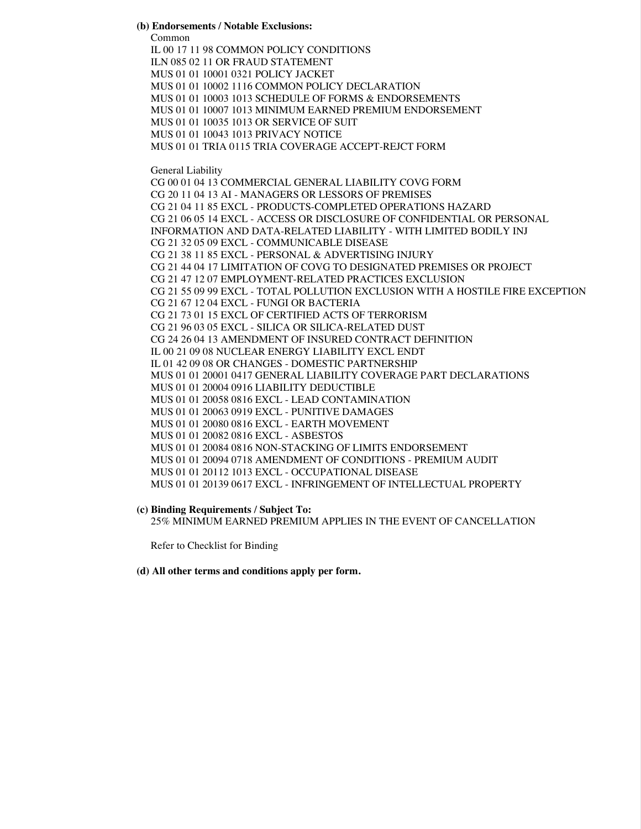#### **(b) Endorsements / Notable Exclusions:**

Common

IL 00 17 11 98 COMMON POLICY CONDITIONS ILN 085 02 11 OR FRAUD STATEMENT MUS 01 01 10001 0321 POLICY JACKET MUS 01 01 10002 1116 COMMON POLICY DECLARATION MUS 01 01 10003 1013 SCHEDULE OF FORMS & ENDORSEMENTS MUS 01 01 10007 1013 MINIMUM EARNED PREMIUM ENDORSEMENT MUS 01 01 10035 1013 OR SERVICE OF SUIT MUS 01 01 10043 1013 PRIVACY NOTICE MUS 01 01 TRIA 0115 TRIA COVERAGE ACCEPT-REJCT FORM General Liability CG 00 01 04 13 COMMERCIAL GENERAL LIABILITY COVG FORM CG 20 11 04 13 AI - MANAGERS OR LESSORS OF PREMISES CG 21 04 11 85 EXCL - PRODUCTS-COMPLETED OPERATIONS HAZARD CG 21 06 05 14 EXCL - ACCESS OR DISCLOSURE OF CONFIDENTIAL OR PERSONAL INFORMATION AND DATA-RELATED LIABILITY - WITH LIMITED BODILY INJ CG 21 32 05 09 EXCL - COMMUNICABLE DISEASE CG 21 38 11 85 EXCL - PERSONAL & ADVERTISING INJURY CG 21 44 04 17 LIMITATION OF COVG TO DESIGNATED PREMISES OR PROJECT CG 21 47 12 07 EMPLOYMENT-RELATED PRACTICES EXCLUSION CG 21 55 09 99 EXCL - TOTAL POLLUTION EXCLUSION WITH A HOSTILE FIRE EXCEPTION CG 21 67 12 04 EXCL - FUNGI OR BACTERIA CG 21 73 01 15 EXCL OF CERTIFIED ACTS OF TERRORISM CG 21 96 03 05 EXCL - SILICA OR SILICA-RELATED DUST CG 24 26 04 13 AMENDMENT OF INSURED CONTRACT DEFINITION IL 00 21 09 08 NUCLEAR ENERGY LIABILITY EXCL ENDT IL 01 42 09 08 OR CHANGES - DOMESTIC PARTNERSHIP MUS 01 01 20001 0417 GENERAL LIABILITY COVERAGE PART DECLARATIONS MUS 01 01 20004 0916 LIABILITY DEDUCTIBLE MUS 01 01 20058 0816 EXCL - LEAD CONTAMINATION MUS 01 01 20063 0919 EXCL - PUNITIVE DAMAGES MUS 01 01 20080 0816 EXCL - EARTH MOVEMENT MUS 01 01 20082 0816 EXCL - ASBESTOS MUS 01 01 20084 0816 NON-STACKING OF LIMITS ENDORSEMENT MUS 01 01 20094 0718 AMENDMENT OF CONDITIONS - PREMIUM AUDIT MUS 01 01 20112 1013 EXCL - OCCUPATIONAL DISEASE MUS 01 01 20139 0617 EXCL - INFRINGEMENT OF INTELLECTUAL PROPERTY

**(c) Binding Requirements / Subject To:**

25% MINIMUM EARNED PREMIUM APPLIES IN THE EVENT OF CANCELLATION

Refer to Checklist for Binding

**(d) All other terms and conditions apply per form.**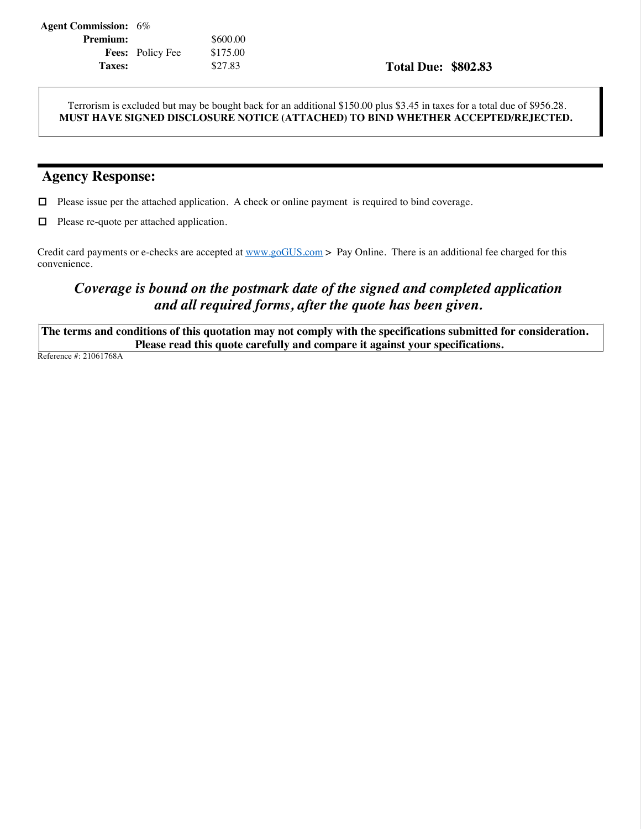| <b>Agent Commission:</b> 6% |                         |          |
|-----------------------------|-------------------------|----------|
| <b>Premium:</b>             |                         | \$600.00 |
|                             | <b>Fees:</b> Policy Fee | \$175.00 |
| Taxes:                      |                         | \$27.83  |

### **Taxes:** \$27.83 **Total Due: \$802.83**

Terrorism is excluded but may be bought back for an additional \$150.00 plus \$3.45 in taxes for a total due of \$956.28. **MUST HAVE SIGNED DISCLOSURE NOTICE (ATTACHED) TO BIND WHETHER ACCEPTED/REJECTED.**

# **Agency Response:**

! Please issue per the attached application. A check or online payment is required to bind coverage.

 $\Box$  Please re-quote per attached application.

Credit card payments or e-checks are accepted at www.goGUS.com > Pay Online. There is an additional fee charged for this convenience.

# *Coverage is bound on the postmark date of the signed and completed application and all required forms, after the quote has been given.*

**The terms and conditions of this quotation may not comply with the specifications submitted for consideration. Please read this quote carefully and compare it against your specifications.**

Reference #: 21061768A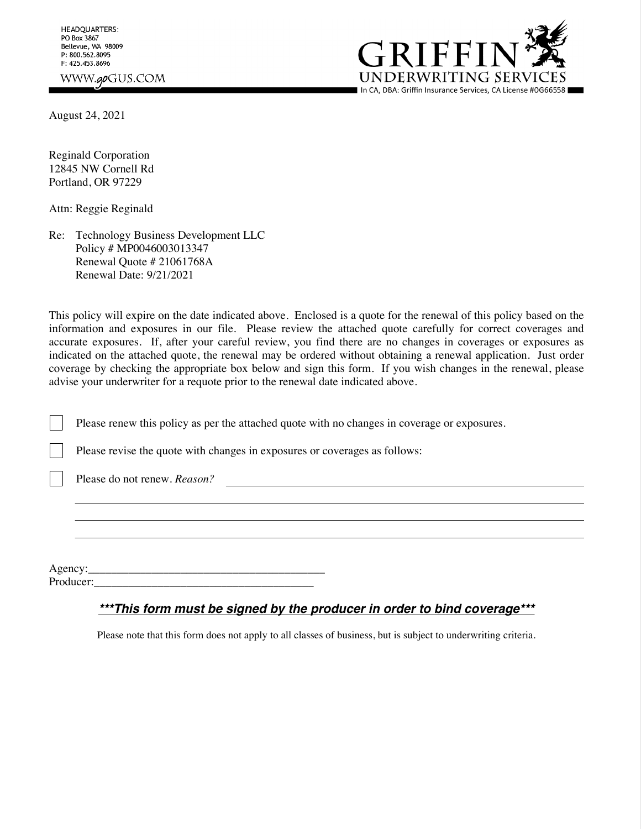**HEADQUARTERS:** PO Box 3867 Bellevue, WA 98009 P: 800.562.8095 F: 425.453.8696 WWW.goGUS.COM



August 24, 2021

Reginald Corporation 12845 NW Cornell Rd Portland, OR 97229

Attn: Reggie Reginald

Re: Technology Business Development LLC Policy # MP0046003013347 Renewal Quote # 21061768A Renewal Date: 9/21/2021

This policy will expire on the date indicated above. Enclosed is a quote for the renewal of this policy based on the information and exposures in our file. Please review the attached quote carefully for correct coverages and accurate exposures. If, after your careful review, you find there are no changes in coverages or exposures as indicated on the attached quote, the renewal may be ordered without obtaining a renewal application. Just order coverage by checking the appropriate box below and sign this form. If you wish changes in the renewal, please advise your underwriter for a requote prior to the renewal date indicated above.

Please renew this policy as per the attached quote with no changes in coverage or exposures.

Please revise the quote with changes in exposures or coverages as follows:

Please do not renew. *Reason?*

Agency: Producer:\_\_\_\_\_\_\_\_\_\_\_\_\_\_\_\_\_\_\_\_\_\_\_\_\_\_\_\_\_\_\_\_\_\_\_\_\_\_

### *\*\*\*This form must be signed by the producer in order to bind coverage\*\*\**

Please note that this form does not apply to all classes of business, but is subject to underwriting criteria.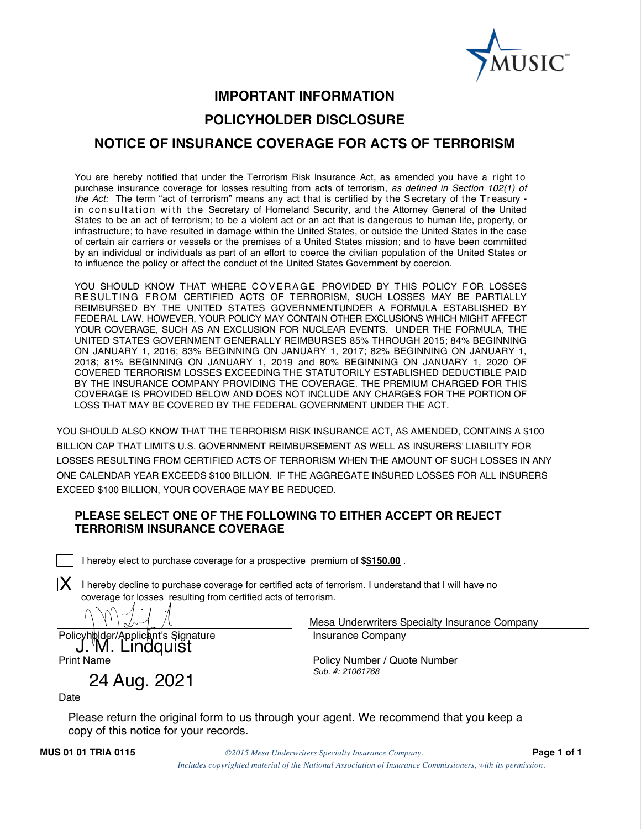

# **IMPORTANT INFORMATION POLICYHOLDER DISCLOSURE NOTICE OF INSURANCE COVERAGE FOR ACTS OF TERRORISM**

You are hereby notified that under the Terrorism Risk Insurance Act, as amended you have a right to purchase insurance coverage for losses resulting from acts of terrorism, *as defined in Section 102(1) of the Act:* The term "act of terrorism" means any act that is certified by the Secretary of the Treasury in consultation with the Secretary of Homeland Security, and the Attorney General of the United States to be an act of terrorism; to be a violent act or an act that is dangerous to human life, property, or infrastructure; to have resulted in damage within the United States, or outside the United States in the case of certain air carriers or vessels or the premises of a United States mission; and to have been committed by an individual or individuals as part of an effort to coerce the civilian population of the United States or to influence the policy or affect the conduct of the United States Government by coercion.

YOU SHOULD KNOW THAT WHERE COVERAGE PROVIDED BY THIS POLICY FOR LOSSES RESULTING FROM CERTIFIED ACTS OF T ERRORISM, SUCH LOSSES MAY BE PARTIALLY REIMBURSED BY THE UNITED STATES GOVERNMENTUNDER A FORMULA ESTABLISHED BY FEDERAL LAW. HOWEVER, YOUR POLICY MAY CONTAIN OTHER EXCLUSIONS WHICH MIGHT AFFECT YOUR COVERAGE, SUCH AS AN EXCLUSION FOR NUCLEAR EVENTS. UNDER THE FORMULA, THE UNITED STATES GOVERNMENT GENERALLY REIMBURSES 85% THROUGH 2015; 84% BEGINNING ON JANUARY 1, 2016; 83% BEGINNING ON JANUARY 1, 2017; 82% BEGINNING ON JANUARY 1, 2018; 81% BEGINNING ON JANUARY 1, 2019 and 80% BEGINNING ON JANUARY 1, 2020 OF COVERED TERRORISM LOSSES EXCEEDING THE STATUTORILY ESTABLISHED DEDUCTIBLE PAID BY THE INSURANCE COMPANY PROVIDING THE COVERAGE. THE PREMIUM CHARGED FOR THIS COVERAGE IS PROVIDED BELOW AND DOES NOT INCLUDE ANY CHARGES FOR THE PORTION OF LOSS THAT MAY BE COVERED BY THE FEDERAL GOVERNMENT UNDER THE ACT.

YOU SHOULD ALSO KNOW THAT THE TERRORISM RISK INSURANCE ACT, AS AMENDED, CONTAINS A \$100 BILLION CAP THAT LIMITS U.S. GOVERNMENT REIMBURSEMENT AS WELL AS INSURERS' LIABILITY FOR LOSSES RESULTING FROM CERTIFIED ACTS OF TERRORISM WHEN THE AMOUNT OF SUCH LOSSES IN ANY ONE CALENDAR YEAR EXCEEDS \$100 BILLION. IF THE AGGREGATE INSURED LOSSES FOR ALL INSURERS EXCEED \$100 BILLION, YOUR COVERAGE MAY BE REDUCED.

### **PLEASE SELECT ONE OF THE FOLLOWING TO EITHER ACCEPT OR REJECT TERRORISM INSURANCE COVERAGE**

I hereby elect to purchase coverage for a prospective premium of **\$\$150.00** .

 $\bm{\mathsf{X}}$  I hereby decline to purchase coverage for certified acts of terrorism. I understand that I will have no coverage for losses resulting from certified acts of terrorism.

°M. Lindquist

24 Aug. 2021

Mesa Underwriters Specialty Insurance Company Policyholder/Applicant's Signature Insurance Company

Print Name **Policy Number / Quote Number** / Policy Number / Quote Number *Sub. #: 21061768*

**Date** 

Please return the original form to us through your agent. We recommend that you keep a copy of this notice for your records.

**MUS 01 01 TRIA 0115** *©2015 Mesa Underwriters Specialty Insurance Company.* **Page 1 of 1** *Includes copyrighted material of the National Association of Insurance Commissioners, with its permission.*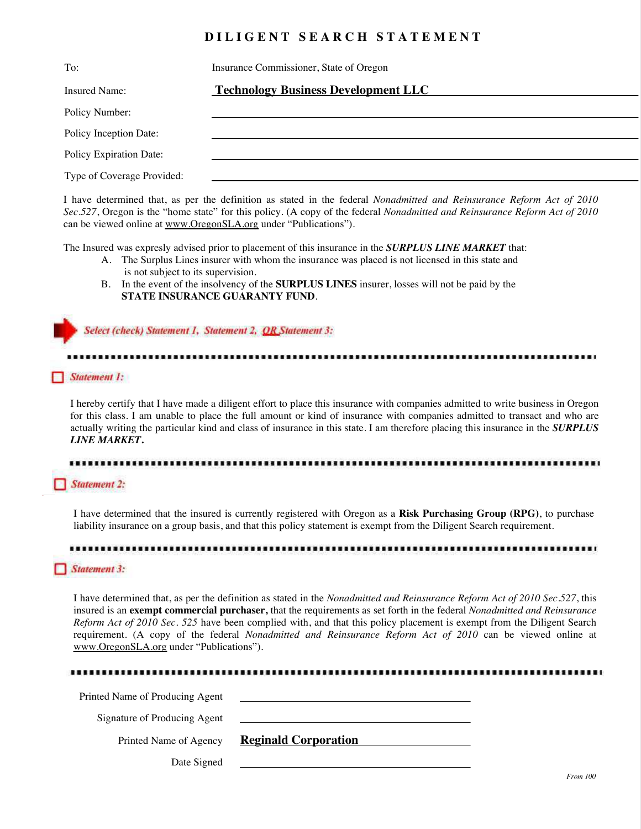### **D I L I G E N T S E A R C H S T A T E M E N T**

| To:                        | Insurance Commissioner, State of Oregon    |
|----------------------------|--------------------------------------------|
| Insured Name:              | <b>Technology Business Development LLC</b> |
| Policy Number:             |                                            |
| Policy Inception Date:     |                                            |
| Policy Expiration Date:    |                                            |
| Type of Coverage Provided: |                                            |

I have determined that, as per the definition as stated in the federal *Nonadmitted and Reinsurance Reform Act of 2010 Sec.527*, Oregon is the "home state" for this policy. (A copy of the federal *Nonadmitted and Reinsurance Reform Act of 2010*  can be viewed online at www.OregonSLA.org under "Publications").

The Insured was expresly advised prior to placement of this insurance in the *SURPLUS LINE MARKET* that:

- A. The Surplus Lines insurer with whom the insurance was placed is not licensed in this state and is not subject to its supervision.
- B. In the event of the insolvency of the **SURPLUS LINES** insurer, losses will not be paid by the **STATE INSURANCE GUARANTY FUND**.

Select (check) Statement 1, Statement 2, OR Statement 3:

Statement 1:

I hereby certify that I have made a diligent effort to place this insurance with companies admitted to write business in Oregon for this class. I am unable to place the full amount or kind of insurance with companies admitted to transact and who are actually writing the particular kind and class of insurance in this state. I am therefore placing this insurance in the *SURPLUS LINE MARKET***.**

### **Statement 2:**

I have determined that the insured is currently registered with Oregon as a **Risk Purchasing Group (RPG)**, to purchase liability insurance on a group basis, and that this policy statement is exempt from the Diligent Search requirement.

### ............

#### Statement 3:

I have determined that, as per the definition as stated in the *Nonadmitted and Reinsurance Reform Act of 2010 Sec.527*, this insured is an **exempt commercial purchaser,** that the requirements as set forth in the federal *Nonadmitted and Reinsurance Reform Act of 2010 Sec. 525* have been complied with, and that this policy placement is exempt from the Diligent Search requirement. (A copy of the federal *Nonadmitted and Reinsurance Reform Act of 2010* can be viewed online at www.OregonSLA.org under "Publications").

| Printed Name of Producing Agent | <u> Alexandria de la contrada de la contrada de la contrada de la contrada de la contrada de la contrada de la c</u> |  |
|---------------------------------|----------------------------------------------------------------------------------------------------------------------|--|
| Signature of Producing Agent    |                                                                                                                      |  |
| Printed Name of Agency          | <b>Reginald Corporation</b>                                                                                          |  |
| Date Signed                     | <u> 1980 - John Stein, amerikansk politiker (* 1900)</u>                                                             |  |